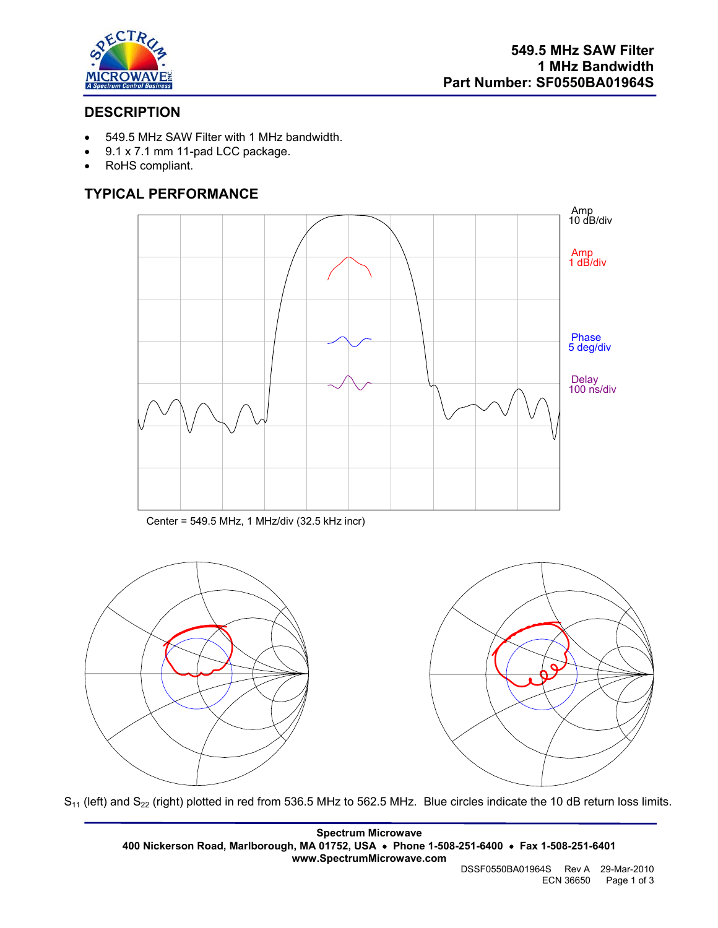

# **DESCRIPTION**

- 549.5 MHz SAW Filter with 1 MHz bandwidth.
- 9.1 x 7.1 mm 11-pad LCC package.
- RoHS compliant.

# **TYPICAL PERFORMANCE**



Center = 549.5 MHz, 1 MHz/div (32.5 kHz incr)



 $S_{11}$  (left) and  $S_{22}$  (right) plotted in red from 536.5 MHz to 562.5 MHz. Blue circles indicate the 10 dB return loss limits.

**Spectrum Microwave 400 Nickerson Road, Marlborough, MA 01752, USA** • **Phone 1-508-251-6400** • **Fax 1-508-251-6401 www.SpectrumMicrowave.com** 

DSSF0550BA01964S Rev A 29-Mar-2010 ECN 36650 Page 1 of 3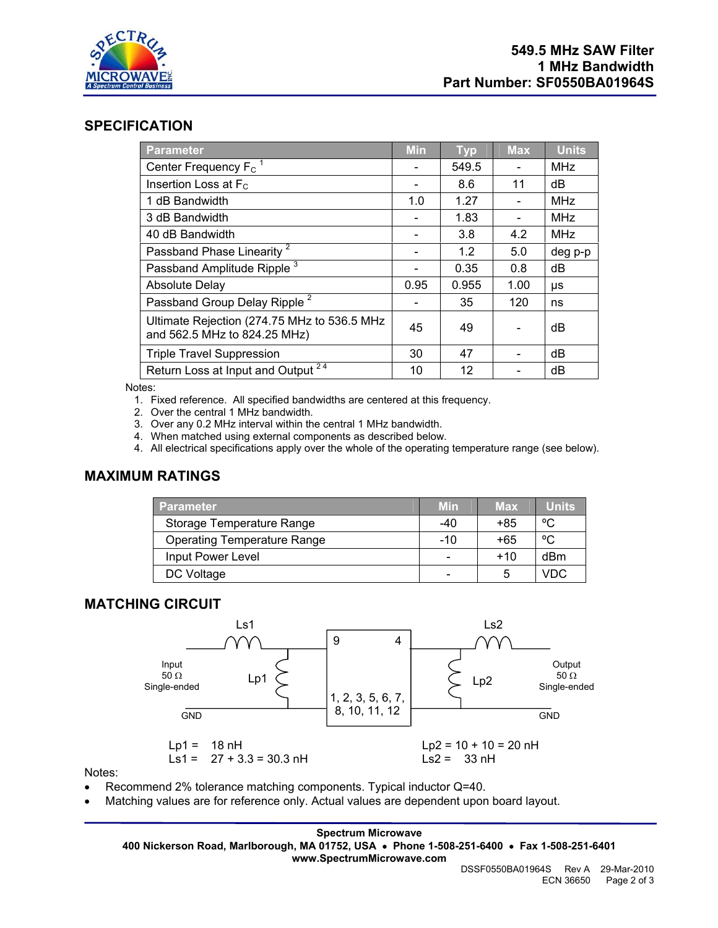

#### **SPECIFICATION**

| <b>Parameter</b>                                                            | <b>Min</b> | <b>Typ</b> | <b>Max</b> | <b>Units</b> |
|-----------------------------------------------------------------------------|------------|------------|------------|--------------|
| Center Frequency F <sub>c</sub> <sup>1</sup>                                |            | 549.5      |            | <b>MHz</b>   |
| Insertion Loss at $F_c$                                                     |            | 8.6        | 11         | dB           |
| 1 dB Bandwidth                                                              | 1.0        | 1.27       |            | <b>MHz</b>   |
| 3 dB Bandwidth                                                              |            | 1.83       |            | <b>MHz</b>   |
| 40 dB Bandwidth                                                             |            | 3.8        | 4.2        | <b>MHz</b>   |
| Passband Phase Linearity <sup>2</sup>                                       |            | 1.2        | 5.0        | deg p-p      |
| Passband Amplitude Ripple <sup>3</sup>                                      |            | 0.35       | 0.8        | dB           |
| <b>Absolute Delay</b>                                                       | 0.95       | 0.955      | 1.00       | μs           |
| Passband Group Delay Ripple <sup>2</sup>                                    |            | 35         | 120        | ns           |
| Ultimate Rejection (274.75 MHz to 536.5 MHz<br>and 562.5 MHz to 824.25 MHz) | 45         | 49         |            | dB           |
| <b>Triple Travel Suppression</b>                                            | 30         | 47         |            | dB           |
| Return Loss at Input and Output <sup>24</sup>                               | 10         | 12         |            | dB           |

Notes:

- 1. Fixed reference. All specified bandwidths are centered at this frequency.
- 2. Over the central 1 MHz bandwidth.
- 3. Over any 0.2 MHz interval within the central 1 MHz bandwidth.
- 4. When matched using external components as described below.
- 4. All electrical specifications apply over the whole of the operating temperature range (see below).

#### **MAXIMUM RATINGS**

| <b>Parameter</b>                   | <b>Min</b> | <b>Max</b> | <b>Units</b> |
|------------------------------------|------------|------------|--------------|
| Storage Temperature Range          | -40        | +85        | °C           |
| <b>Operating Temperature Range</b> | -10        | +65        | °C           |
| Input Power Level                  |            | $+10$      | dBm          |
| DC Voltage                         |            | 5          | VDC          |

## **MATCHING CIRCUIT**



Notes:

- Recommend 2% tolerance matching components. Typical inductor Q=40.
- Matching values are for reference only. Actual values are dependent upon board layout.

**Spectrum Microwave** 

**400 Nickerson Road, Marlborough, MA 01752, USA** • **Phone 1-508-251-6400** • **Fax 1-508-251-6401 www.SpectrumMicrowave.com**